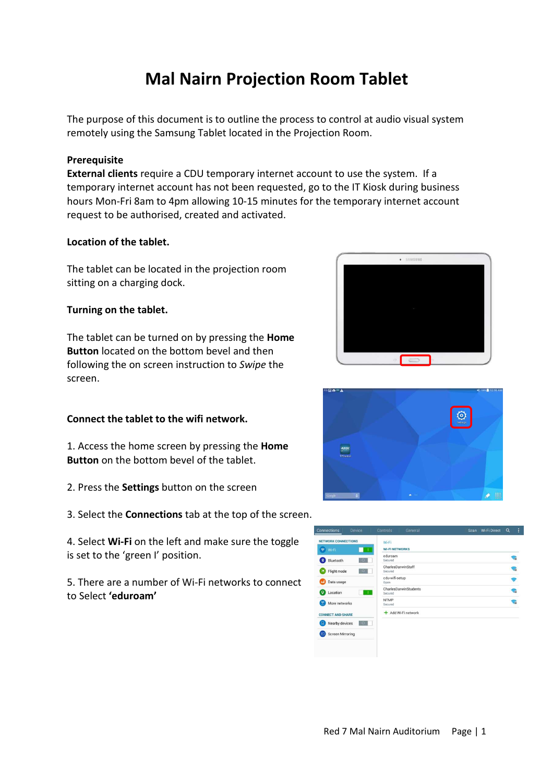# **Mal Nairn Projection Room Tablet**

The purpose of this document is to outline the process to control at audio visual system remotely using the Samsung Tablet located in the Projection Room.

## **Prerequisite**

**External clients** require a CDU temporary internet account to use the system. If a temporary internet account has not been requested, go to the IT Kiosk during business hours Mon-Fri 8am to 4pm allowing 10-15 minutes for the temporary internet account request to be authorised, created and activated.

## **Location of the tablet.**

The tablet can be located in the projection room sitting on a charging dock.

#### **Turning on the tablet.**

The tablet can be turned on by pressing the **Home Button** located on the bottom bevel and then following the on screen instruction to *Swipe* the screen.

## **Connect the tablet to the wifi network.**

1. Access the home screen by pressing the **Home Button** on the bottom bevel of the tablet.

- 2. Press the **Settings** button on the screen
- 3. Select the **Connections** tab at the top of the screen.

4. Select **Wi-Fi** on the left and make sure the toggle is set to the 'green I' position.

5. There are a number of Wi-Fi networks to connect to Select **'eduroam'**





| Device<br><b>onnections</b>                         | <b>Controls</b><br><b>General</b> | -3<br>$\alpha$<br>Wi Fi Direct<br><b>Scan</b> |
|-----------------------------------------------------|-----------------------------------|-----------------------------------------------|
| <b>NETWORK CONNECTIONS</b>                          | Wi-Fi<br><b>WI-FI NETWORKS</b>    |                                               |
| <b>令 Wi-Fi</b><br>$\bullet$<br>$\circ$<br>Bluetooth | eduroam<br>Secured                | ଵ                                             |
| $\circ$<br>Flight mode<br>Œ                         | CharlesDarwinStaff<br>Secured     | 帚                                             |
| œ<br>Data usage                                     | cdu-wifi-setup<br>Open            | Ŝ,                                            |
| $\circ$<br>Location                                 | CharlesDarwinStudents<br>Secured  | 霜                                             |
| Œ<br>More networks                                  | <b>NTMP</b><br>Secured            | ଲ                                             |
| <b>CONNECT AND SHARE</b>                            | + Add Wi-Fi network               |                                               |
| <b>E</b><br>Nearby devices<br>$\overline{\bullet}$  |                                   |                                               |
| 回<br><b>Screen Mirroring</b>                        |                                   |                                               |